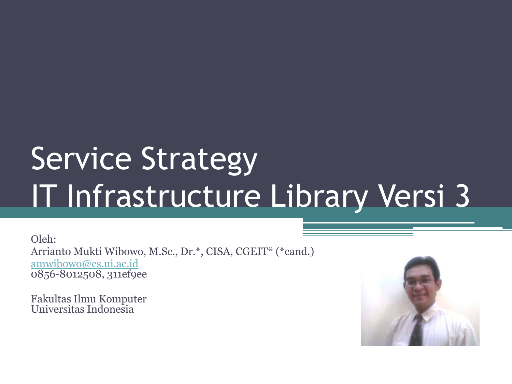## Service Strategy IT Infrastructure Library Versi 3

Oleh: Arrianto Mukti Wibowo, M.Sc., Dr.\*, CISA, CGEIT\* (\*cand.) [amwibowo@cs.ui.ac.id](mailto:amwibowo@cs.ui.ac.id) 0856-8012508, 311ef9ee

Fakultas Ilmu Komputer Universitas Indonesia

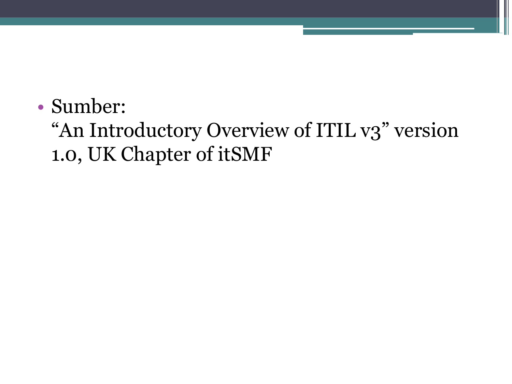• Sumber:

#### "An Introductory Overview of ITIL v3" version 1.0, UK Chapter of itSMF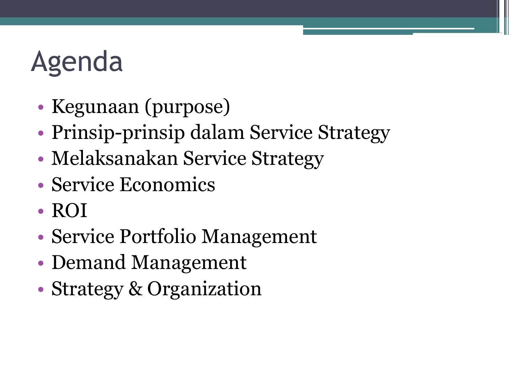### Agenda

- Kegunaan (purpose)
- Prinsip-prinsip dalam Service Strategy
- Melaksanakan Service Strategy
- Service Economics
- ROI
- Service Portfolio Management
- Demand Management
- Strategy & Organization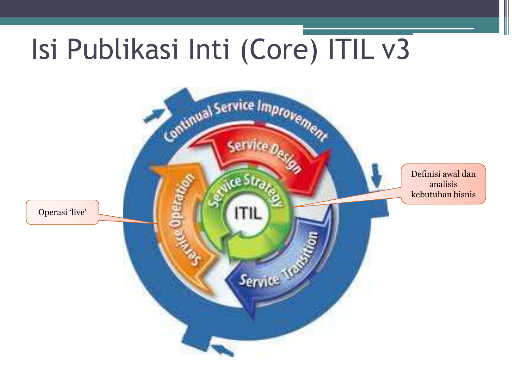### Isi Publikasi Inti (Core) ITIL v3

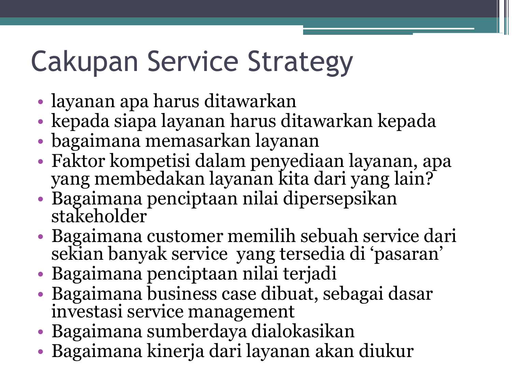### Cakupan Service Strategy

- layanan apa harus ditawarkan
- kepada siapa layanan harus ditawarkan kepada
- bagaimana memasarkan layanan
- Faktor kompetisi dalam penyediaan layanan, apa yang membedakan layanan kita dari yang lain?
- Bagaimana penciptaan nilai dipersepsikan stakeholder
- Bagaimana customer memilih sebuah service dari sekian banyak service yang tersedia di "pasaran"
- Bagaimana penciptaan nilai terjadi
- Bagaimana business case dibuat, sebagai dasar investasi service management
- Bagaimana sumberdaya dialokasikan
- Bagaimana kinerja dari layanan akan diukur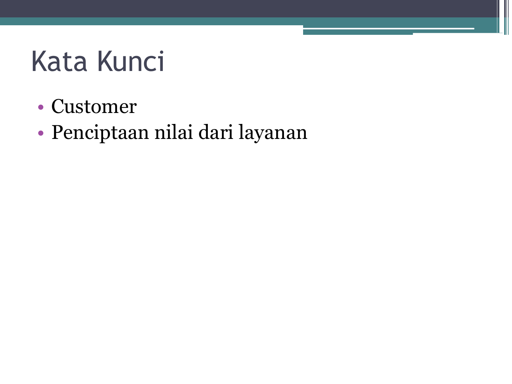### Kata Kunci

- Customer
- Penciptaan nilai dari layanan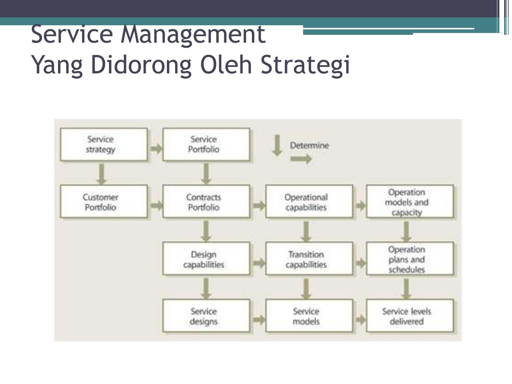#### Service Management Yang Didorong Oleh Strategi

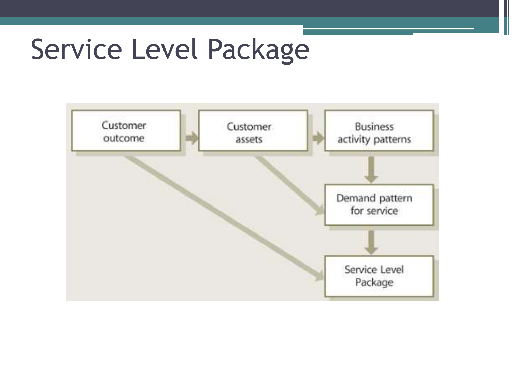#### Service Level Package

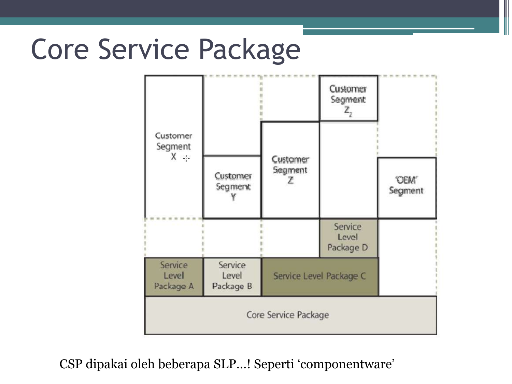#### Core Service Package



CSP dipakai oleh beberapa SLP…! Seperti "componentware"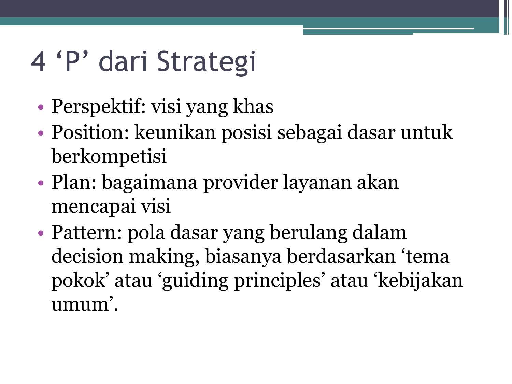### 4 'P' dari Strategi

- Perspektif: visi yang khas
- Position: keunikan posisi sebagai dasar untuk berkompetisi
- Plan: bagaimana provider layanan akan mencapai visi
- Pattern: pola dasar yang berulang dalam decision making, biasanya berdasarkan "tema pokok" atau "guiding principles" atau "kebijakan umum".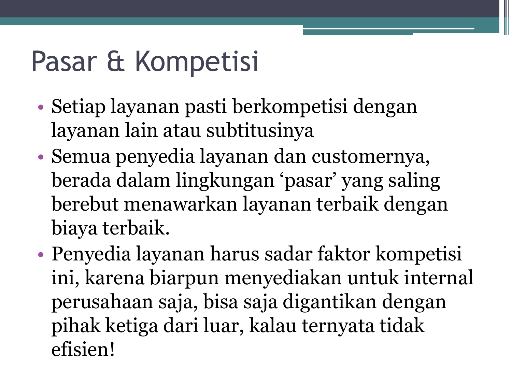### Pasar & Kompetisi

- Setiap layanan pasti berkompetisi dengan layanan lain atau subtitusinya
- Semua penyedia layanan dan customernya, berada dalam lingkungan "pasar" yang saling berebut menawarkan layanan terbaik dengan biaya terbaik.
- Penyedia layanan harus sadar faktor kompetisi ini, karena biarpun menyediakan untuk internal perusahaan saja, bisa saja digantikan dengan pihak ketiga dari luar, kalau ternyata tidak efisien!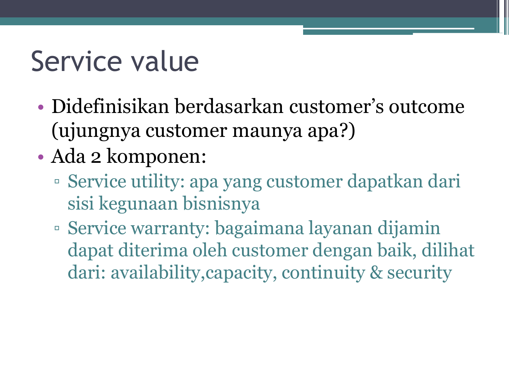### Service value

- Didefinisikan berdasarkan customer's outcome (ujungnya customer maunya apa?)
- Ada 2 komponen:
	- Service utility: apa yang customer dapatkan dari sisi kegunaan bisnisnya
	- Service warranty: bagaimana layanan dijamin dapat diterima oleh customer dengan baik, dilihat dari: availability,capacity, continuity & security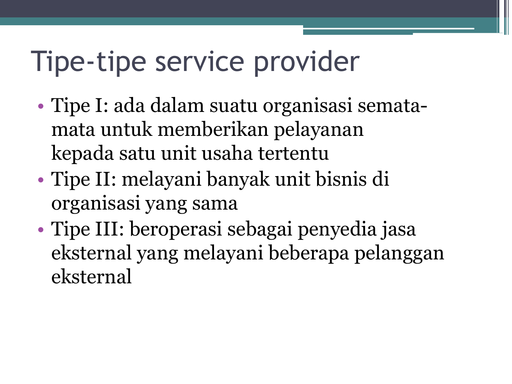#### Tipe-tipe service provider

- Tipe I: ada dalam suatu organisasi sematamata untuk memberikan pelayanan kepada satu unit usaha tertentu
- Tipe II: melayani banyak unit bisnis di organisasi yang sama
- Tipe III: beroperasi sebagai penyedia jasa eksternal yang melayani beberapa pelanggan eksternal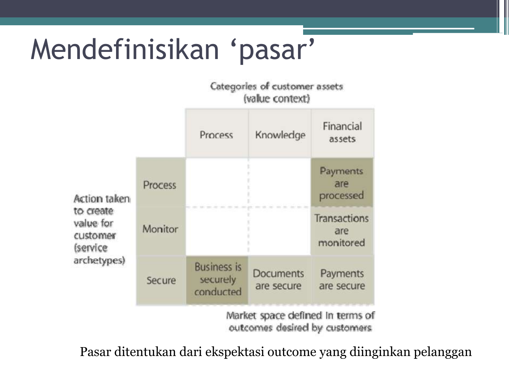### Mendefinisikan 'pasar'

#### Categories of customer assets (value context)

|                                                                                             |         | Process                                     | Knowledge                      | Financial<br>assets              |
|---------------------------------------------------------------------------------------------|---------|---------------------------------------------|--------------------------------|----------------------------------|
| Action taken<br>to create<br>value for<br>customer<br><i><b>(service</b></i><br>archetypes) | Process |                                             |                                | Payments<br>are<br>processed     |
|                                                                                             | Monitor |                                             |                                | Transactions<br>are<br>monitored |
|                                                                                             | Secure  | <b>Business is</b><br>securely<br>conducted | <b>Documents</b><br>are secure | Payments<br>are secure           |
|                                                                                             |         |                                             |                                | Market space defined in terms of |

outcomes desired by customers

Pasar ditentukan dari ekspektasi outcome yang diinginkan pelanggan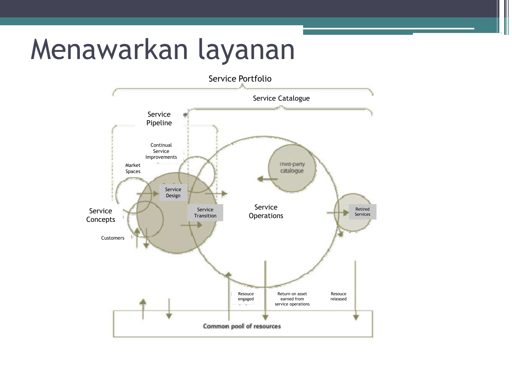#### Menawarkan layanan

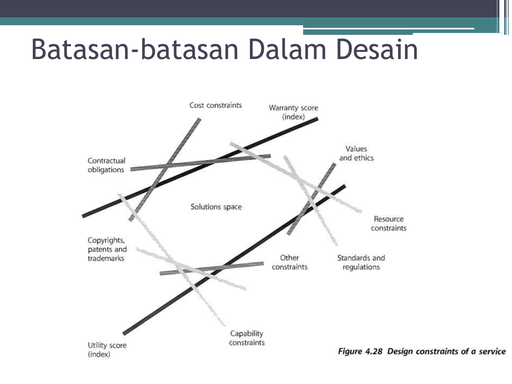#### Batasan-batasan Dalam Desain



Figure 4.28 Design constraints of a service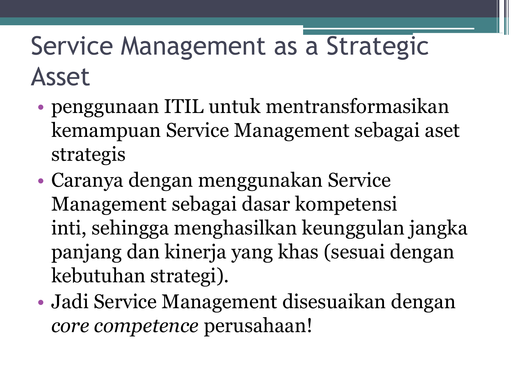#### Service Management as a Strategic Asset

- penggunaan ITIL untuk mentransformasikan kemampuan Service Management sebagai aset strategis
- Caranya dengan menggunakan Service Management sebagai dasar kompetensi inti, sehingga menghasilkan keunggulan jangka panjang dan kinerja yang khas (sesuai dengan kebutuhan strategi).
- Jadi Service Management disesuaikan dengan *core competence* perusahaan!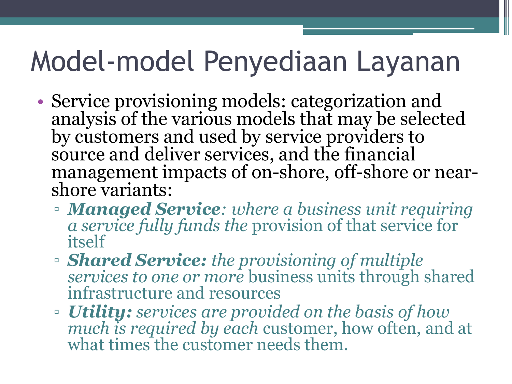#### Model-model Penyediaan Layanan

- Service provisioning models: categorization and analysis of the various models that may be selected by customers and used by service providers to source and deliver services, and the financial management impacts of on-shore, off-shore or nearshore variants:
	- *Managed Service: where a business unit requiring a service fully funds the* provision of that service for itself
	- *Shared Service: the provisioning of multiple services to one or more* business units through shared infrastructure and resources
	- *Utility: services are provided on the basis of how much is required by each* customer, how often, and at what times the customer needs them.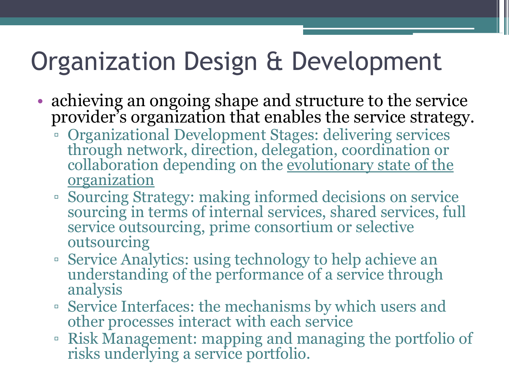#### Organization Design & Development

- achieving an ongoing shape and structure to the service provider"s organization that enables the service strategy.
	- Organizational Development Stages: delivering services through network, direction, delegation, coordination or collaboration depending on the evolutionary state of the organization
	- Sourcing Strategy: making informed decisions on service sourcing in terms of internal services, shared services, full service outsourcing, prime consortium or selective outsourcing
	- Service Analytics: using technology to help achieve an understanding of the performance of a service through analysis
	- Service Interfaces: the mechanisms by which users and other processes interact with each service
	- Risk Management: mapping and managing the portfolio of risks underlying a service portfolio.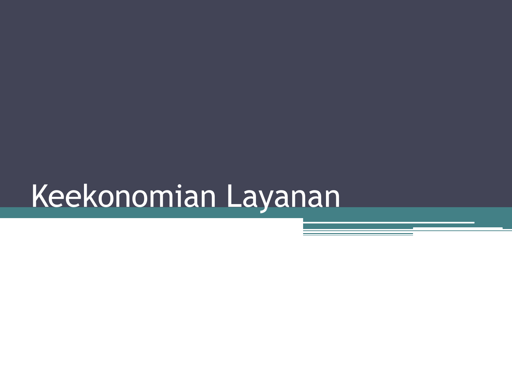## Keekonomian Layanan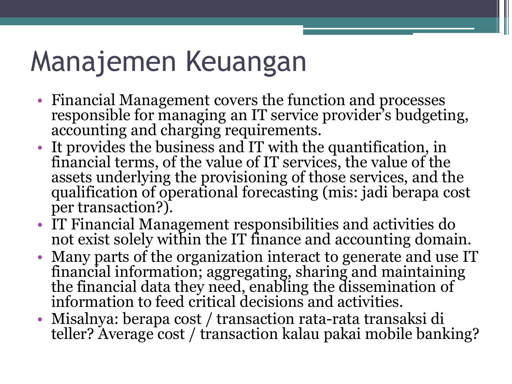### Manajemen Keuangan

- Financial Management covers the function and processes responsible for managing an IT service provider's budgeting, accounting and charging requirements.
- It provides the business and IT with the quantification, in financial terms, of the value of IT services, the value of the assets underlying the provisioning of those services, and the qualification of operational forecasting (mis: jadi berapa cost per transaction?).
- IT Financial Management responsibilities and activities do not exist solely within the IT finance and accounting domain.
- Many parts of the organization interact to generate and use IT financial information; aggregating, sharing and maintaining the financial data they need, enabling the dissemination of information to feed critical decisions and activities.
- Misalnya: berapa cost / transaction rata-rata transaksi di teller? Average cost / transaction kalau pakai mobile banking?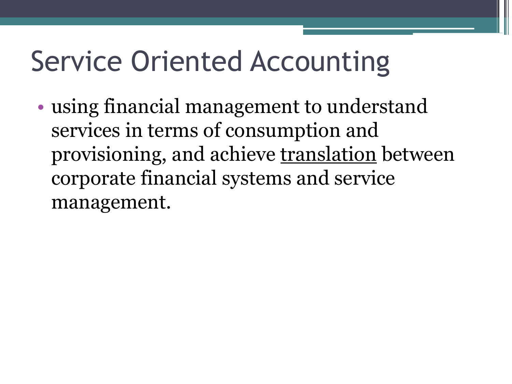### Service Oriented Accounting

• using financial management to understand services in terms of consumption and provisioning, and achieve translation between corporate financial systems and service management.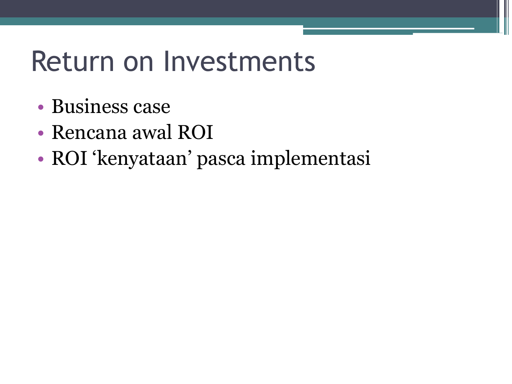#### Return on Investments

- Business case
- Rencana awal ROI
- ROI "kenyataan" pasca implementasi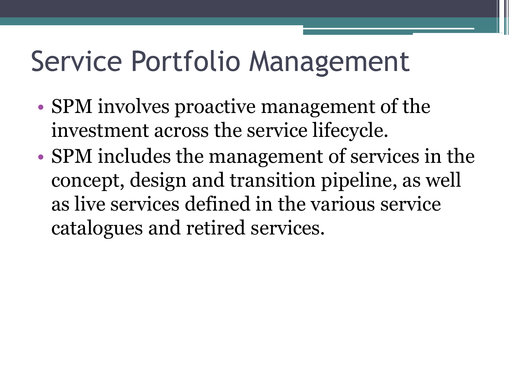#### Service Portfolio Management

- SPM involves proactive management of the investment across the service lifecycle.
- SPM includes the management of services in the concept, design and transition pipeline, as well as live services defined in the various service catalogues and retired services.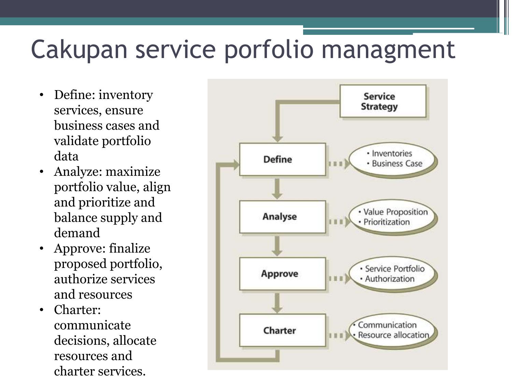#### Cakupan service porfolio managment

- Define: inventory services, ensure business cases and validate portfolio data
- Analyze: maximize portfolio value, align and prioritize and balance supply and demand
- Approve: finalize proposed portfolio, authorize services and resources
- Charter: communicate decisions, allocate resources and charter services.

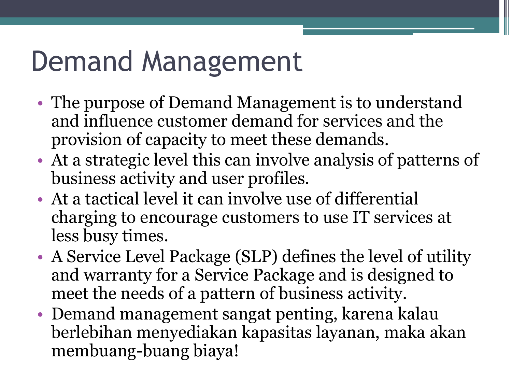#### Demand Management

- The purpose of Demand Management is to understand and influence customer demand for services and the provision of capacity to meet these demands.
- At a strategic level this can involve analysis of patterns of business activity and user profiles.
- At a tactical level it can involve use of differential charging to encourage customers to use IT services at less busy times.
- A Service Level Package (SLP) defines the level of utility and warranty for a Service Package and is designed to meet the needs of a pattern of business activity.
- Demand management sangat penting, karena kalau berlebihan menyediakan kapasitas layanan, maka akan membuang-buang biaya!